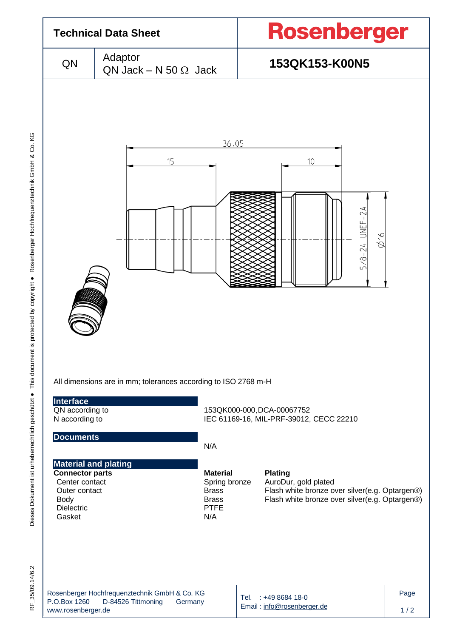

RF 35/09.14/6.2